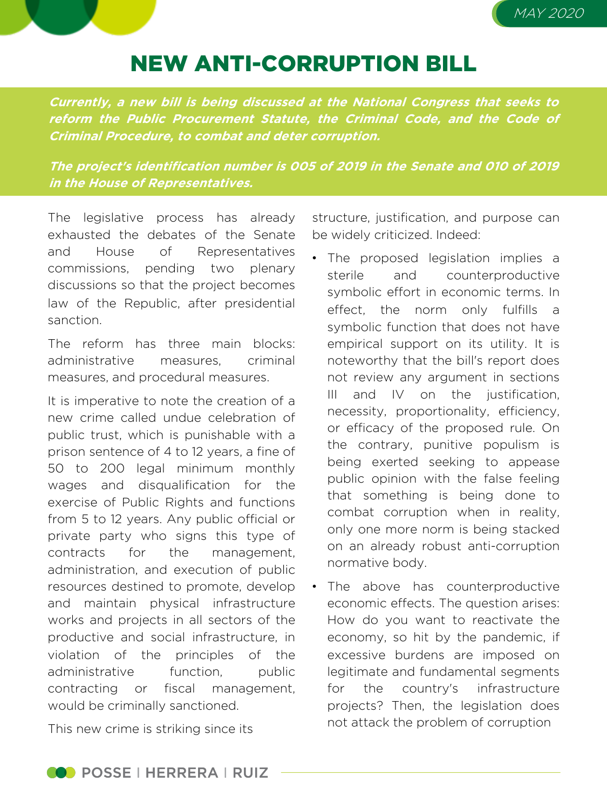

## NEW ANTI-CORRUPTION BILL

**Currently, <sup>a</sup> new bill is being discussed at the National Congress that seeks to reform the Public Procurement Statute, the Criminal Code, and the Code of Criminal Procedure, to combat and deter corruption.**

**The project's identification number is 005 of 2019 in the Senate and 010 of 2019 in the House of Representatives.**

The legislative process has already exhausted the debates of the Senate and House of Representatives commissions, pending two plenary discussions so that the project becomes law of the Republic, after presidential sanction.

The reform has three main blocks: administrative measures criminal measures, and procedural measures.

It is imperative to note the creation of a new crime called undue celebration of public trust, which is punishable with a prison sentence of 4 to 12 years, a fine of 50 to 200 legal minimum monthly wages and disqualification for the exercise of Public Rights and functions from 5 to 12 years. Any public official or private party who signs this type of contracts for the management, administration, and execution of public resources destined to promote, develop and maintain physical infrastructure works and projects in all sectors of the productive and social infrastructure, in violation of the principles of the administrative function, public contracting or fiscal management, would be criminally sanctioned.

structure, justification, and purpose can be widely criticized. Indeed:

- The proposed legislation implies a sterile and counterproductive symbolic effort in economic terms. In effect, the norm only fulfills a symbolic function that does not have empirical support on its utility. It is noteworthy that the bill's report does not review any argument in sections III and IV on the justification, necessity, proportionality, efficiency, or efficacy of the proposed rule. On the contrary, punitive populism is being exerted seeking to appease public opinion with the false feeling that something is being done to combat corruption when in reality, only one more norm is being stacked on an already robust anti-corruption normative body.
- The above has counterproductive economic effects. The question arises: How do you want to reactivate the economy, so hit by the pandemic, if excessive burdens are imposed on legitimate and fundamental segments for the country's infrastructure projects? Then, the legislation does not attack the problem of corruption

This new crime is striking since its